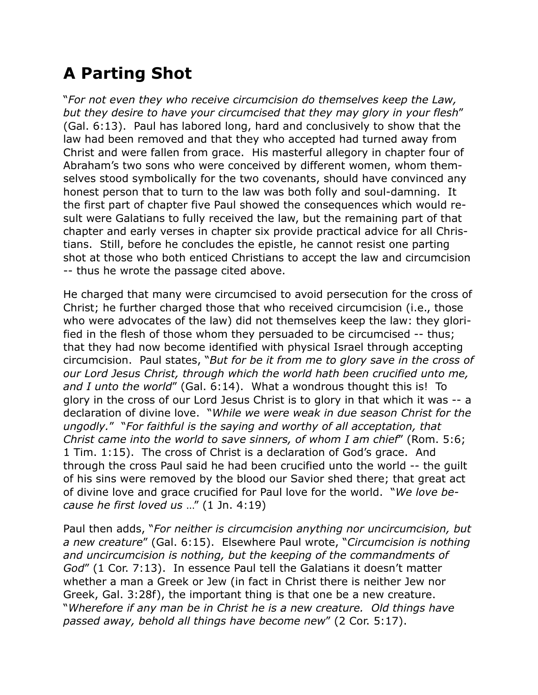## **A Parting Shot**

"*For not even they who receive circumcision do themselves keep the Law, but they desire to have your circumcised that they may glory in your flesh*" (Gal. 6:13). Paul has labored long, hard and conclusively to show that the law had been removed and that they who accepted had turned away from Christ and were fallen from grace. His masterful allegory in chapter four of Abraham's two sons who were conceived by different women, whom themselves stood symbolically for the two covenants, should have convinced any honest person that to turn to the law was both folly and soul-damning. It the first part of chapter five Paul showed the consequences which would result were Galatians to fully received the law, but the remaining part of that chapter and early verses in chapter six provide practical advice for all Christians. Still, before he concludes the epistle, he cannot resist one parting shot at those who both enticed Christians to accept the law and circumcision -- thus he wrote the passage cited above.

He charged that many were circumcised to avoid persecution for the cross of Christ; he further charged those that who received circumcision (i.e., those who were advocates of the law) did not themselves keep the law: they glorified in the flesh of those whom they persuaded to be circumcised -- thus; that they had now become identified with physical Israel through accepting circumcision. Paul states, "*But for be it from me to glory save in the cross of our Lord Jesus Christ, through which the world hath been crucified unto me, and I unto the world*" (Gal. 6:14). What a wondrous thought this is! To glory in the cross of our Lord Jesus Christ is to glory in that which it was -- a declaration of divine love. "*While we were weak in due season Christ for the ungodly.*" "*For faithful is the saying and worthy of all acceptation, that Christ came into the world to save sinners, of whom I am chief*" (Rom. 5:6; 1 Tim. 1:15). The cross of Christ is a declaration of God's grace. And through the cross Paul said he had been crucified unto the world -- the guilt of his sins were removed by the blood our Savior shed there; that great act of divine love and grace crucified for Paul love for the world. "*We love because he first loved us* …" (1 Jn. 4:19)

Paul then adds, "*For neither is circumcision anything nor uncircumcision, but a new creature*" (Gal. 6:15). Elsewhere Paul wrote, "*Circumcision is nothing and uncircumcision is nothing, but the keeping of the commandments of God*" (1 Cor. 7:13). In essence Paul tell the Galatians it doesn't matter whether a man a Greek or Jew (in fact in Christ there is neither Jew nor Greek, Gal. 3:28f), the important thing is that one be a new creature. "*Wherefore if any man be in Christ he is a new creature. Old things have passed away, behold all things have become new*" (2 Cor. 5:17).